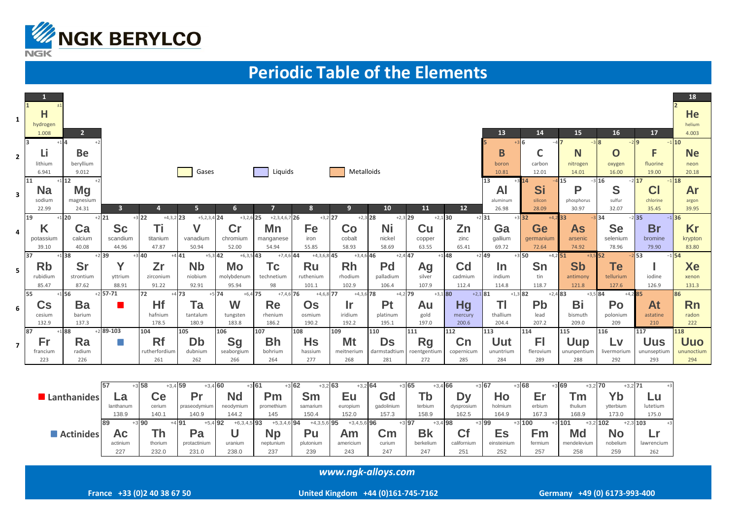

## **Periodic Table of the Elements**

| 1              | Η<br>hydrogen<br>1.008           | 2 <sup>1</sup><br>$+14$         |                           |                                          |                                |                                          |                                    |                         |                           |                           |                           |                              | 13                       | 14<br>$+3$ 6                            | 15<br>$-38$               | 16<br>$-29$               | 17<br>$-1$ 10                              | 18<br>He<br>helium<br>4.003     |
|----------------|----------------------------------|---------------------------------|---------------------------|------------------------------------------|--------------------------------|------------------------------------------|------------------------------------|-------------------------|---------------------------|---------------------------|---------------------------|------------------------------|--------------------------|-----------------------------------------|---------------------------|---------------------------|--------------------------------------------|---------------------------------|
| $\mathbf{2}$   | Lı<br>lithium                    | <b>Be</b><br>beryllium          |                           |                                          |                                |                                          |                                    |                         |                           |                           |                           |                              | B<br>boron               | C<br>carbon                             | N<br>nitrogen             | O<br>oxygen               | F<br>fluorine                              | <b>Ne</b><br>neon               |
|                | 6.941<br>11                      | 9.012<br>$+1$ 12                |                           |                                          | Gases                          |                                          | Liquids                            |                         | Metalloids                |                           |                           |                              | 10.81<br>13<br><b>AI</b> | 12.01<br>Si                             | 14.01<br><b>15</b><br>P   | 16.00<br>$-3$ 16<br>S     | 19.00<br>$-2$ 17<br>$-1$ 18<br>CI          | 20.18<br>Ar                     |
| 3              | <b>Na</b><br>sodium<br>22.99     | <b>Mg</b><br>magnesium<br>24.31 | $\overline{\mathbf{3}}$   | 4                                        | 5 <sub>1</sub>                 | 6                                        |                                    | 8                       | 9                         | 10                        | 11                        | 12                           | aluminum<br>26.98        | silicon<br>28.09                        | phosphorus<br>30.97       | sulfur<br>32.07           | chlorine<br>35.45                          | argon<br>39.95                  |
| 4              | 19<br>K<br>potassium             | $+1$ 20<br>Ca<br>calcium        | $+2$ 21<br>Sc<br>scandium | $+3$ 22<br>$+4,3,2$ 23<br>Τi<br>titanium | $+5,2,3,4$ 24<br>V<br>vanadium | $+3,2,6$ 25<br>$\mathsf{Cr}$<br>chromium | $+2,3,4,6,7$ 26<br>Mn<br>manganese | $+3,2$ 27<br>Fe<br>iron | $+2,3$ 28<br>Co<br>cobalt | $+2,3$ 29<br>Ni<br>nickel | $+2,1$ 30<br>Cu<br>copper | Zn<br>zinc                   | $+2$ 31<br>Ga<br>gallium | $+3$ 32<br>$+4,2$ 33<br>Ge<br>germanium | <b>As</b><br>arsenic      | $-3$ 34<br>Se<br>selenium | $-2$ 35<br>$-1$ 36<br><b>Br</b><br>bromine | Kr<br>krypton                   |
|                | 39.10<br>37                      | 40.08<br>$+1$ 38                | 44.96<br>$+2$ 39          | 47.87<br>$+3$ 40                         | 50.94<br>$+5,3$ 42<br>$+441$   | 52.00<br>$+6,3,5$ 43                     | 54.94<br>$+7,4,6$ 44               | 55.85<br>$+4,3,6,8$ 45  | 58.93<br>$+3,4,6$ 46      | 58.69<br>$+2,4$ 47        | 63.55<br>$+1$ 48          | 65.41                        | 69.72<br>$+2$ 49         | 72.64<br>$+3$ 50<br>$+4,2$ 51           | 74.92<br>$+3,5$ 52        | 78.96                     | 79.90<br>$-2$ 53<br>$-1$ 54                | 83.80                           |
| 5              | <b>Rb</b><br>rubidium            | <b>Sr</b><br>strontium          | Υ<br>yttrium              | Zr<br>zirconium                          | <b>Nb</b><br>niobium           | Mo<br>molybdenum                         | Тc<br>technetium                   | Ru<br>ruthenium         | <b>Rh</b><br>rhodium      | Pd<br>palladium           | Ag<br>silver              | C <sub>d</sub><br>cadmium    | In<br>indium             | Sn<br>tin                               | <b>Sb</b><br>antimony     | Te<br>tellurium           | iodine                                     | Xe<br>xenon                     |
|                | 85.47<br>55                      | 87.62<br>$+1$ 56                | 88.91<br>$+2$ 57-71       | 91.22<br>72                              | 92.91<br>$+473$                | 95.94<br>$+5$ 74<br>$+6,4$ 75            | 98<br>$+7,4,6$ 76                  | 101.1<br>$+4,6,8$ 77    | 102.9<br>$+4,3,6$ 78      | 106.4<br>$+4,2$ 79        | 107.9<br>$+3,1$ 80        | 112.4<br>$+2,1$ 81           | 114.8<br>$+1,3$ 82       | 118.7<br>$+2,4$ 83                      | 121.8<br>$+3.5$ 84        | 127.6<br>$+4,2$ 85        | 126.9                                      | 131.3<br>86                     |
| 6              | $\mathbf{C}\mathbf{s}$<br>cesium | Ba<br>barium                    |                           | Hf<br>hafnium                            | Ta<br>tantalum                 | W<br>tungsten                            | Re<br>rhenium                      | <b>Os</b><br>osmium     | Ir<br>iridium             | <b>Pt</b><br>platinum     | Au<br>gold                | Hg<br>mercury                | TI<br>thallium           | Pb<br>lead                              | Bi<br>bismuth             | Po<br>polonium            | At<br>astatine                             | <b>Rn</b><br>radon              |
|                | 132.9<br>87                      | 137.3<br>$+188$                 | $+2$ 89-103               | 178.5<br>104                             | 180.9<br>105                   | 183.8<br>106                             | 186.2<br>107                       | 190.2<br>108            | 192.2<br>109              | 195.1<br>110              | 197.0<br>111              | 200.6<br>112                 | 204.4<br>113             | 207.2<br>114                            | 209.0<br>115              | 209<br>116                | 210<br>117                                 | 222                             |
| $\overline{7}$ | Fr<br>francium                   | Ra<br>radium                    | H.                        | Rf<br>rutherfordium                      | Db<br>dubnium                  | <b>Sg</b><br>seaborgium                  | <b>Bh</b><br>bohrium               | <b>Hs</b><br>hassium    | Mt<br>meitnerium          | Ds<br>darmstadtium        | <b>Rg</b><br>roentgentium | C <sub>n</sub><br>copernicum | Uut<br>ununtrium         | F1<br>flerovium                         | <b>Uup</b><br>ununpentium | Lv<br>livermorium         | <b>Uus</b><br>ununseptium                  | 118<br><b>Uuo</b><br>ununoctium |
|                | 223                              | 226                             |                           | 261                                      | 262                            | 266                                      | 264                                | 277                     | 268                       | 281                       | 272                       | 285                          | 284                      | 289                                     | 288                       | 292                       | 293                                        | 294                             |
|                |                                  |                                 | 57                        | $+358$<br>$+3,4$ 59                      | $+3,4$ 60                      |                                          | $+361$                             | $+362$<br>$+3,2$ 63     | $+3,2$ 64                 |                           | $+365$<br>$+3,4$ 66       |                              | $+367$                   | $+368$                                  | $+369$<br>$+3,2$ 70       | $+3,2$ 71                 |                                            |                                 |
|                |                                  | <b>Lanthanides</b>              | .a<br>lanthanum           | Ce<br>cerium                             | Pr<br>praseodymium             | <b>Nd</b><br>neodymium                   | Pm<br>promethium                   | <b>Sm</b><br>samarium   | Eu<br>europium            | Gd<br>gadolinium          | Tb<br>terbium             | <b>Dy</b><br>dysprosium      | Ho<br>holmium            | Er<br>erbium                            | Тm<br>thulium             | Yb<br>vtterbium           | Lu<br>lutetium                             |                                 |

138.9 140.1 140.9 144.2 145 150.4 152.0 157.3 158.9 162.5 164.9 167.3 168.9 173.0 175.0  $+5,3,4,6$  94  $+4,3,5,6$  95  $+3,4,5,6$  96  $+3$  100  $+3$  101  $+3,2$  102 89  $+3.90$  $+491$  $+5.4$  92  $+6,3,4,5$  93  $+3$  97  $+3.4$  98  $+3$  99  $+2.3$  103 Actinides  $\cup$ Pu **Cf Fm Md** Ac **Th** Pa **Np Am**  $\mathsf{C}$ m **Bk Es No**  $Lr$ actinium plutonium americium berkelium californium einsteinium fermium mendelevium nobelium lawrencium thorium protactinium uranium neptunium curium 227 232.0 231.0 238.0 237 239 243 247 247 251 252 257 258 259 262

www.ngk-alloys.com

United Kingdom +44 (0)161-745-7162

 $+3$